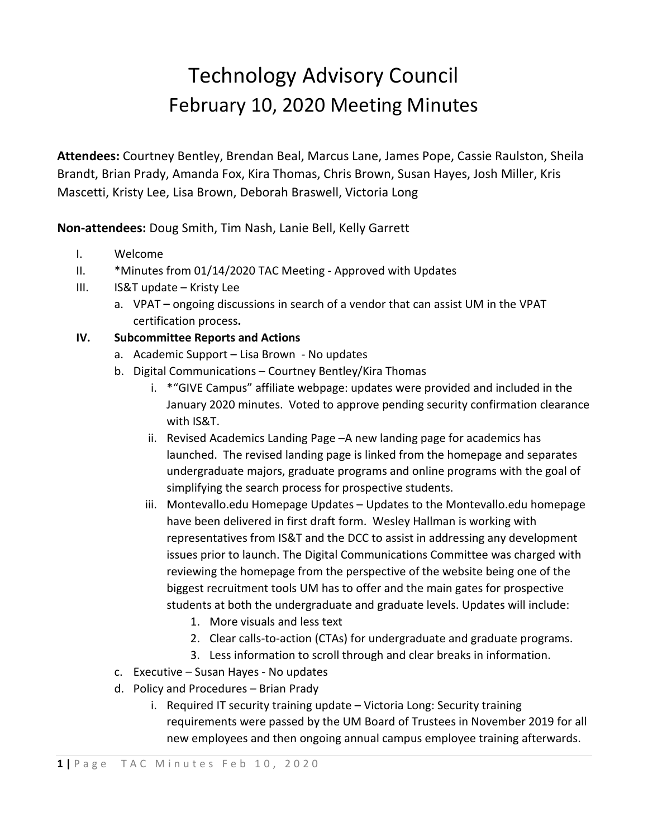## Technology Advisory Council February 10, 2020 Meeting Minutes

**Attendees:** Courtney Bentley, Brendan Beal, Marcus Lane, James Pope, Cassie Raulston, Sheila Brandt, Brian Prady, Amanda Fox, Kira Thomas, Chris Brown, Susan Hayes, Josh Miller, Kris Mascetti, Kristy Lee, Lisa Brown, Deborah Braswell, Victoria Long

**Non-attendees:** Doug Smith, Tim Nash, Lanie Bell, Kelly Garrett

- I. Welcome
- II. \*Minutes from 01/14/2020 TAC Meeting Approved with Updates
- III. IS&T update Kristy Lee
	- a. VPAT **–** ongoing discussions in search of a vendor that can assist UM in the VPAT certification process**.**

## **IV. Subcommittee Reports and Actions**

- a. Academic Support Lisa Brown No updates
- b. Digital Communications Courtney Bentley/Kira Thomas
	- i. \*"GIVE Campus" affiliate webpage: updates were provided and included in the January 2020 minutes. Voted to approve pending security confirmation clearance with IS&T.
	- ii. Revised Academics Landing Page –A new landing page for academics has launched. The revised landing page is linked from the homepage and separates undergraduate majors, graduate programs and online programs with the goal of simplifying the search process for prospective students.
	- iii. Montevallo.edu Homepage Updates Updates to the Montevallo.edu homepage have been delivered in first draft form. Wesley Hallman is working with representatives from IS&T and the DCC to assist in addressing any development issues prior to launch. The Digital Communications Committee was charged with reviewing the homepage from the perspective of the website being one of the biggest recruitment tools UM has to offer and the main gates for prospective students at both the undergraduate and graduate levels. Updates will include:
		- 1. More visuals and less text
		- 2. Clear calls-to-action (CTAs) for undergraduate and graduate programs.
		- 3. Less information to scroll through and clear breaks in information.
- c. Executive Susan Hayes No updates
- d. Policy and Procedures Brian Prady
	- i. Required IT security training update Victoria Long: Security training requirements were passed by the UM Board of Trustees in November 2019 for all new employees and then ongoing annual campus employee training afterwards.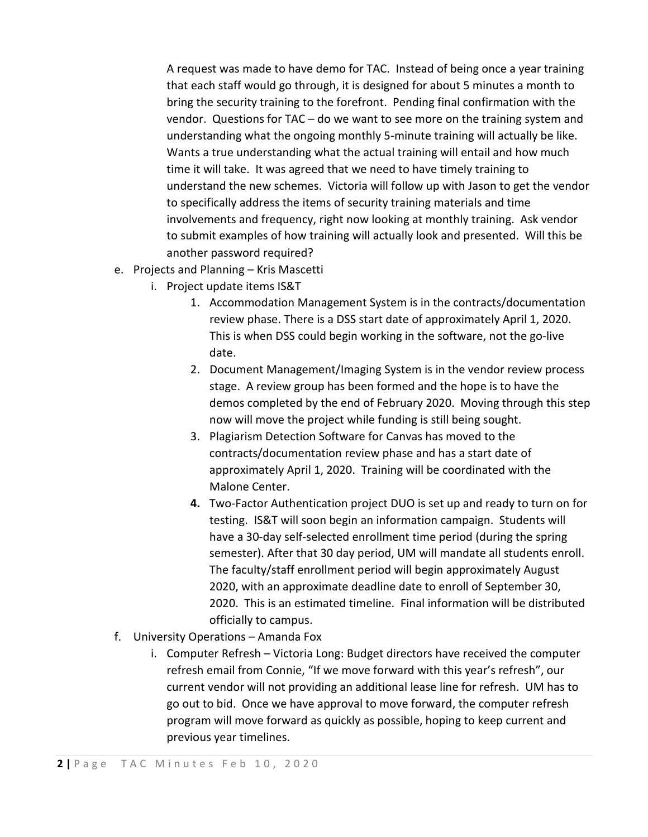A request was made to have demo for TAC. Instead of being once a year training that each staff would go through, it is designed for about 5 minutes a month to bring the security training to the forefront. Pending final confirmation with the vendor. Questions for TAC – do we want to see more on the training system and understanding what the ongoing monthly 5-minute training will actually be like. Wants a true understanding what the actual training will entail and how much time it will take. It was agreed that we need to have timely training to understand the new schemes. Victoria will follow up with Jason to get the vendor to specifically address the items of security training materials and time involvements and frequency, right now looking at monthly training. Ask vendor to submit examples of how training will actually look and presented. Will this be another password required?

- e. Projects and Planning Kris Mascetti
	- i. Project update items IS&T
		- 1. Accommodation Management System is in the contracts/documentation review phase. There is a DSS start date of approximately April 1, 2020. This is when DSS could begin working in the software, not the go-live date.
		- 2. Document Management/Imaging System is in the vendor review process stage. A review group has been formed and the hope is to have the demos completed by the end of February 2020. Moving through this step now will move the project while funding is still being sought.
		- 3. Plagiarism Detection Software for Canvas has moved to the contracts/documentation review phase and has a start date of approximately April 1, 2020. Training will be coordinated with the Malone Center.
		- **4.** Two-Factor Authentication project DUO is set up and ready to turn on for testing. IS&T will soon begin an information campaign. Students will have a 30-day self-selected enrollment time period (during the spring semester). After that 30 day period, UM will mandate all students enroll. The faculty/staff enrollment period will begin approximately August 2020, with an approximate deadline date to enroll of September 30, 2020. This is an estimated timeline. Final information will be distributed officially to campus.
- f. University Operations Amanda Fox
	- i. Computer Refresh Victoria Long: Budget directors have received the computer refresh email from Connie, "If we move forward with this year's refresh", our current vendor will not providing an additional lease line for refresh. UM has to go out to bid. Once we have approval to move forward, the computer refresh program will move forward as quickly as possible, hoping to keep current and previous year timelines.